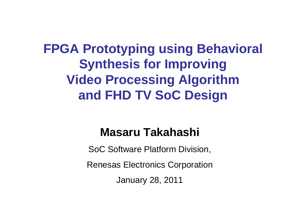**FPGA Prototyping using Behavioral Synthesis for Improving Video Processing Algorithmand FHD TV SoC Design**

#### **Masaru Takahashi**

SoC Software Platform Division,

Renesas Electronics Corporation

January 28, 2011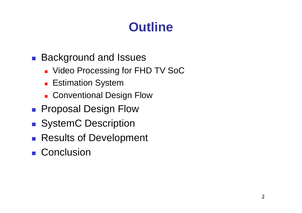# **Outline**

- M ■ Background and Issues
	- × Video Processing for FHD TV SoC
	- × **Estimation System**
	- $\blacksquare$  Conventional De: ■ Conventional Design Flow
- M ■ Proposal Design Flow
- M **SystemC Description**
- Results of Development
- Conclusion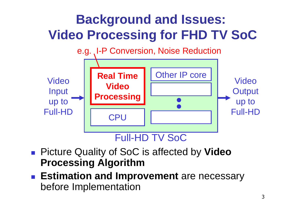

- Picture Quality of SoC is affected by **Video Processing Algorithm**
- **T ESUMATION AND IMP Estimation and Improvement** are necessary before Implementation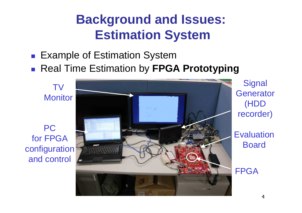#### **Background and Issues: Estimation System**

#### $\mathbb{R}^3$ ■ Example of Estimation System

 $\blacksquare$  Real Time Estimation by FPC ■ Real Time Estimation by **FPGA Prototyping** 

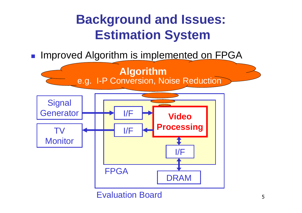#### **Background and Issues: Estimation System**

 $\mathbb{R}^3$ **Improved Algorithm is implemented on FPGA** 

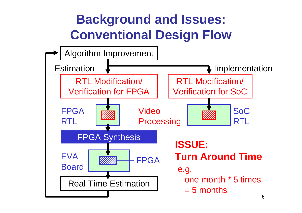### **Background and Issues: Conventional Design Flow**

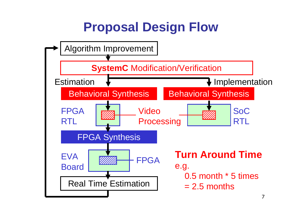## **Proposal Design Flow**

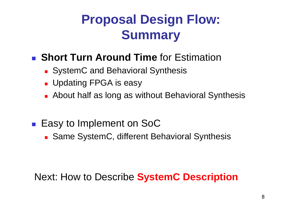# **Proposal Design Flow:Summary**

- M **Short Turn Around Time** for Estimation
	- × ■ SystemC and Behavioral Synthesis
	- × ■ Updating FPGA is easy
	- × ■ About half as long as without Behavioral Synthesis
- M ■ Easy to Implement on SoC
	- Same SystemC, different E ■ Same SystemC, different Behavioral Synthesis

#### Next: How to Describe **SystemC Description**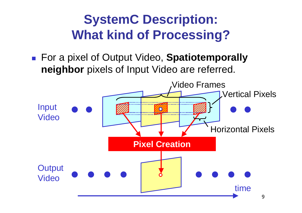## **SystemC Description: What kind of Processing?**

M For a pixel of Output Video, **Spatiotemporally neighbor** pixels of Input Video are referred.

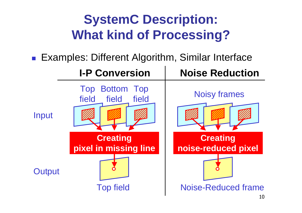# **SystemC Description: What kind of Processing?**

M ■ Examples: Different Algorithm, Similar Interface

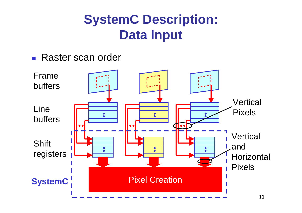#### **SystemC Description: Data Input**

M ■ Raster scan order

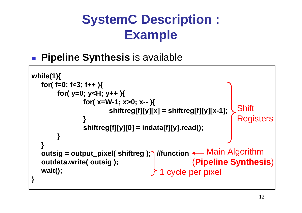## **SystemC Description :Example**

M **Pipeline Synthesis** is available

```
while(1){
for( f=0; f<3; f++ ){
for( y=0; y<H; y++ ){
for( x=W-1; x>0; x-- ){
shiftreg[f][y][x] = shiftreg[f][y][x-1];}
shiftreg[f][y][0] = indata[f][y].read();}}
outsig = output_pixel( shiftreg ); //functionMain Algorithmoutdata.write( outsig );wait();}Shift
                                                               Registers
                                                 (Pipeline Synthesis)1 cycle per pixel
```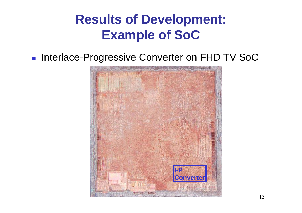#### **Results of Development: Example of SoC**

#### M **Interlace-Progressive Converter on FHD TV SoC**

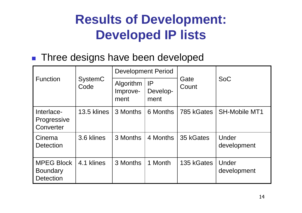#### **Results of Development: Developed IP lists**

#### M ■ Three designs have been developed

| <b>Function</b>                                          | <b>SystemC</b><br>Code | <b>Development Period</b>     |                        |               |                      |
|----------------------------------------------------------|------------------------|-------------------------------|------------------------|---------------|----------------------|
|                                                          |                        | Algorithm<br>Improve-<br>ment | IP<br>Develop-<br>ment | Gate<br>Count | <b>SoC</b>           |
| Interlace-<br>Progressive<br>Converter                   | 13.5 klines            | 3 Months                      | 6 Months               | 785 kGates    | <b>SH-Mobile MT1</b> |
| Cinema<br><b>Detection</b>                               | 3.6 klines             | 3 Months                      | 4 Months               | 35 kGates     | Under<br>development |
| <b>MPEG Block</b><br><b>Boundary</b><br><b>Detection</b> | 4.1 klines             | 3 Months                      | 1 Month                | 135 kGates    | Under<br>development |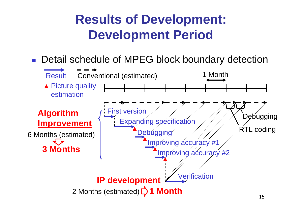#### **Results of Development: Development Period**

#### ■ Detail schedule of MPEG block boundary detection